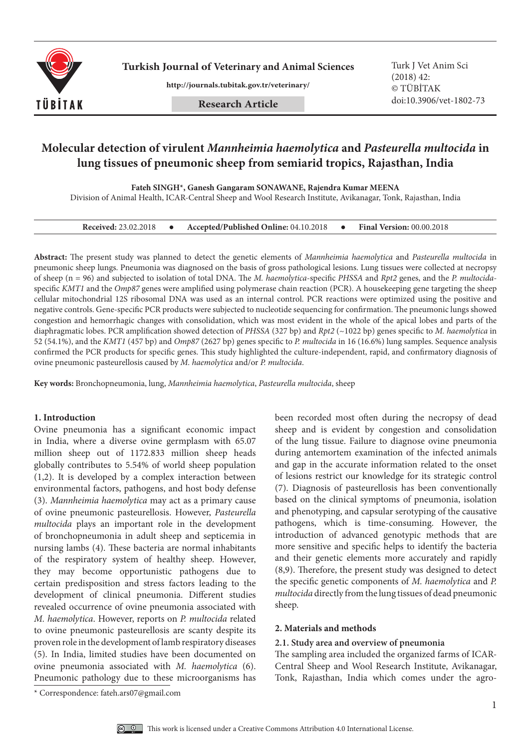

**Turkish Journal of Veterinary and Animal Sciences** Turk J Vet Anim Sci

**http://journals.tubitak.gov.tr/veterinary/**

# **Molecular detection of virulent** *Mannheimia haemolytica* **and** *Pasteurella multocida* **in lung tissues of pneumonic sheep from semiarid tropics, Rajasthan, India**

**Fateh SINGH\*, Ganesh Gangaram SONAWANE, Rajendra Kumar MEENA**

Division of Animal Health, ICAR-Central Sheep and Wool Research Institute, Avikanagar, Tonk, Rajasthan, India

| <b>Received: 23.02.2018</b> |  | Accepted/Published Online: 04.10.2018 |  | <b>Final Version: 00.00.2018</b> |
|-----------------------------|--|---------------------------------------|--|----------------------------------|
|-----------------------------|--|---------------------------------------|--|----------------------------------|

**Abstract:** The present study was planned to detect the genetic elements of *Mannheimia haemolytica* and *Pasteurella multocida* in pneumonic sheep lungs. Pneumonia was diagnosed on the basis of gross pathological lesions. Lung tissues were collected at necropsy of sheep (n = 96) and subjected to isolation of total DNA. The *M. haemolytica*-specific *PHSSA* and *Rpt2* genes, and the *P. multocida*specific *KMT1* and the *Omp87* genes were amplified using polymerase chain reaction (PCR). A housekeeping gene targeting the sheep cellular mitochondrial 12S ribosomal DNA was used as an internal control. PCR reactions were optimized using the positive and negative controls. Gene-specific PCR products were subjected to nucleotide sequencing for confirmation. The pneumonic lungs showed congestion and hemorrhagic changes with consolidation, which was most evident in the whole of the apical lobes and parts of the diaphragmatic lobes. PCR amplification showed detection of *PHSSA* (327 bp) and *Rpt2* (~1022 bp) genes specific to *M. haemolytica* in 52 (54.1%), and the *KMT1* (457 bp) and *Omp87* (2627 bp) genes specific to *P. multocida* in 16 (16.6%) lung samples. Sequence analysis confirmed the PCR products for specific genes. This study highlighted the culture-independent, rapid, and confirmatory diagnosis of ovine pneumonic pasteurellosis caused by *M. haemolytica* and/or *P. multocida*.

**Key words:** Bronchopneumonia, lung, *Mannheimia haemolytica*, *Pasteurella multocida*, sheep

### **1. Introduction**

Ovine pneumonia has a significant economic impact in India, where a diverse ovine germplasm with 65.07 million sheep out of 1172.833 million sheep heads globally contributes to 5.54% of world sheep population (1,2). It is developed by a complex interaction between environmental factors, pathogens, and host body defense (3). *Mannheimia haemolytica* may act as a primary cause of ovine pneumonic pasteurellosis. However, *Pasteurella multocida* plays an important role in the development of bronchopneumonia in adult sheep and septicemia in nursing lambs (4). These bacteria are normal inhabitants of the respiratory system of healthy sheep. However, they may become opportunistic pathogens due to certain predisposition and stress factors leading to the development of clinical pneumonia. Different studies revealed occurrence of ovine pneumonia associated with *M. haemolytica*. However, reports on *P. multocida* related to ovine pneumonic pasteurellosis are scanty despite its proven role in the development of lamb respiratory diseases (5). In India, limited studies have been documented on ovine pneumonia associated with *M. haemolytica* (6). Pneumonic pathology due to these microorganisms has

been recorded most often during the necropsy of dead sheep and is evident by congestion and consolidation of the lung tissue. Failure to diagnose ovine pneumonia during antemortem examination of the infected animals and gap in the accurate information related to the onset of lesions restrict our knowledge for its strategic control (7). Diagnosis of pasteurellosis has been conventionally based on the clinical symptoms of pneumonia, isolation and phenotyping, and capsular serotyping of the causative pathogens, which is time-consuming. However, the introduction of advanced genotypic methods that are more sensitive and specific helps to identify the bacteria and their genetic elements more accurately and rapidly (8,9). Therefore, the present study was designed to detect the specific genetic components of *M. haemolytica* and *P. multocida* directly from the lung tissues of dead pneumonic sheep.

# **2. Materials and methods**

### **2.1. Study area and overview of pneumonia**

The sampling area included the organized farms of ICAR-Central Sheep and Wool Research Institute, Avikanagar, Tonk, Rajasthan, India which comes under the agro-

<sup>\*</sup> Correspondence: fateh.ars07@gmail.com

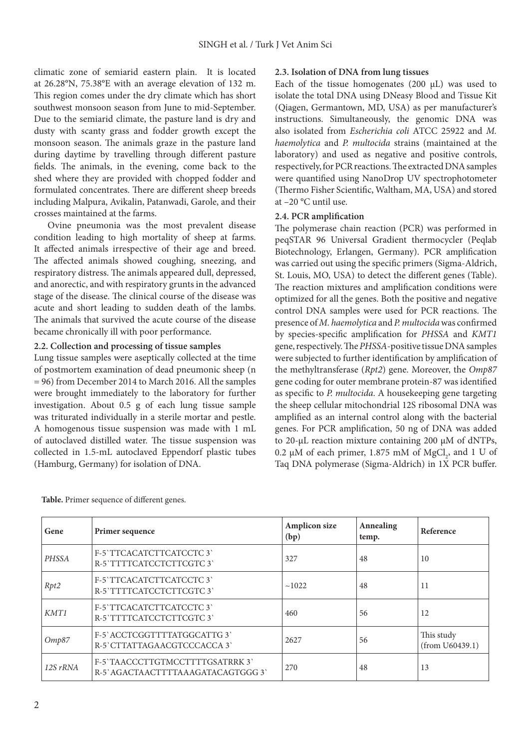climatic zone of semiarid eastern plain. It is located at  [26.28°N, 75.38°E w](https://tools.wmflabs.org/geohack/geohack.php?pagename=Malpura¶ms=26.28_N_75.38_E_)ith an average elevation of 132 m. This region comes under the dry climate which has short southwest monsoon season from June to mid-September. Due to the semiarid climate, the pasture land is dry and dusty with scanty grass and fodder growth except the monsoon season. The animals graze in the pasture land during daytime by travelling through different pasture fields. The animals, in the evening, come back to the shed where they are provided with chopped fodder and formulated concentrates. There are different sheep breeds including Malpura, Avikalin, Patanwadi, Garole, and their crosses maintained at the farms.

Ovine pneumonia was the most prevalent disease condition leading to high mortality of sheep at farms. It affected animals irrespective of their age and breed. The affected animals showed coughing, sneezing, and respiratory distress. The animals appeared dull, depressed, and anorectic, and with respiratory grunts in the advanced stage of the disease. The clinical course of the disease was acute and short leading to sudden death of the lambs. The animals that survived the acute course of the disease became chronically ill with poor performance.

# **2.2. Collection and processing of tissue samples**

Lung tissue samples were aseptically collected at the time of postmortem examination of dead pneumonic sheep (n = 96) from December 2014 to March 2016. All the samples were brought immediately to the laboratory for further investigation. About 0.5 g of each lung tissue sample was triturated individually in a sterile mortar and pestle. A homogenous tissue suspension was made with 1 mL of autoclaved distilled water. The tissue suspension was collected in 1.5-mL autoclaved Eppendorf plastic tubes (Hamburg, Germany) for isolation of DNA.

## **2.3. Isolation of DNA from lung tissues**

Each of the tissue homogenates  $(200 \mu L)$  was used to isolate the total DNA using DNeasy Blood and Tissue Kit (Qiagen, Germantown, MD, USA) as per manufacturer's instructions. Simultaneously, the genomic DNA was also isolated from *Escherichia coli* ATCC 25922 and *M. haemolytica* and *P. multocida* strains (maintained at the laboratory) and used as negative and positive controls, respectively, for PCR reactions. The extracted DNA samples were quantified using NanoDrop UV spectrophotometer (Thermo Fisher Scientific, Waltham, MA, USA) and stored at –20 °C until use.

### **2.4. PCR amplification**

The polymerase chain reaction (PCR) was performed in peqSTAR 96 Universal Gradient thermocycler (Peqlab Biotechnology, Erlangen, Germany). PCR amplification was carried out using the specific primers (Sigma-Aldrich, St. Louis, MO, USA) to detect the different genes (Table). The reaction mixtures and amplification conditions were optimized for all the genes. Both the positive and negative control DNA samples were used for PCR reactions. The presence of *M. haemolytica* and *P. multocida* was confirmed by species-specific amplification for *PHSSA* and *KMT1* gene, respectively. The *PHSSA*-positive tissue DNA samples were subjected to further identification by amplification of the methyltransferase (*Rpt2*) gene. Moreover, the *Omp87* gene coding for outer membrane protein-87 was identified as specific to *P. multocida*. A housekeeping gene targeting the sheep cellular mitochondrial 12S ribosomal DNA was amplified as an internal control along with the bacterial genes. For PCR amplification, 50 ng of DNA was added to 20-µL reaction mixture containing 200 µM of dNTPs, 0.2  $\mu$ M of each primer, 1.875 mM of MgCl<sub>2</sub>, and 1 U of Taq DNA polymerase (Sigma-Aldrich) in 1X PCR buffer.

| Gene         | Primer sequence                                                      | <b>Amplicon size</b><br>(bp) | Annealing<br>temp. | Reference                     |
|--------------|----------------------------------------------------------------------|------------------------------|--------------------|-------------------------------|
| <b>PHSSA</b> | F-5'TTCACATCTTCATCCTC3'<br>R-5'TTTTCATCCTCTTCGTC 3'                  | 327                          | 48                 | 10                            |
| Rpt2         | F-5'TTCACATCTTCATCCTC3'<br>R-5'TTTTCATCCTCTTCGTC3'                   | ~1022                        | 48                 | 11                            |
| KMT1         | F-5'TTCACATCTTCATCCTC3'<br>R-5'TTTTCATCCTCTTCGTC3'                   | 460                          | 56                 | 12                            |
| Omp87        | F-5' ACCTCGGTTTTATGGCATTG 3'<br>R-5' CTTATTAGAACGTCCCACCA 3'         | 2627                         | 56                 | This study<br>(from U60439.1) |
| $12S$ rRNA   | F-5'TAACCCTTGTMCCTTTTGSATRRK3'<br>R-5' AGACTAACTTTTAAAGATACAGTGGG 3' | 270                          | 48                 | 13                            |

**Table.** Primer sequence of different genes.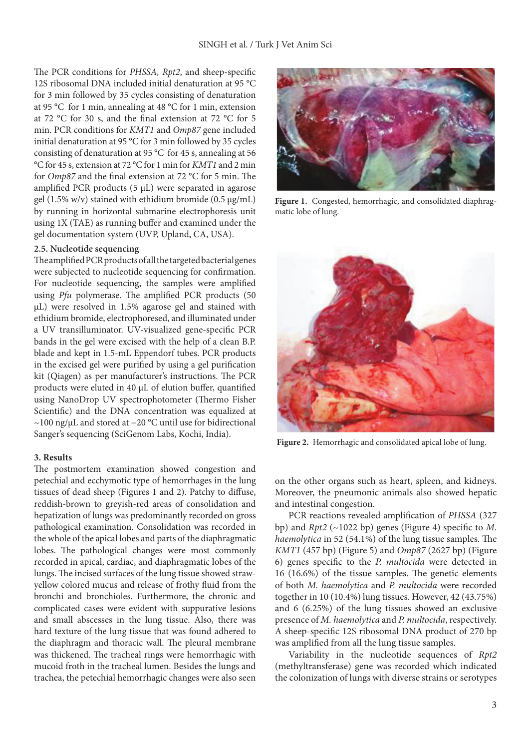The PCR conditions for *PHSSA, Rpt2*, and sheep-specific 12S ribosomal DNA included initial denaturation at 95 °C for 3 min followed by 35 cycles consisting of denaturation at 95 °C for 1 min, annealing at 48 °C for 1 min, extension at 72 °C for 30 s, and the final extension at 72 °C for 5 min. PCR conditions for *KMT1* and *Omp87* gene included initial denaturation at 95 °C for 3 min followed by 35 cycles consisting of denaturation at 95 °C for 45 s, annealing at 56 °C for 45 s, extension at 72 °C for 1 min for *KMT1* and 2 min for *Omp87* and the final extension at 72 °C for 5 min. The amplified PCR products (5 µL) were separated in agarose gel (1.5% w/v) stained with ethidium bromide (0.5  $\mu$ g/mL) by running in horizontal submarine electrophoresis unit using 1X (TAE) as running buffer and examined under the gel documentation system (UVP, Upland, CA, USA).

#### **2.5. Nucleotide sequencing**

The amplified PCR products of all the targeted bacterial genes were subjected to nucleotide sequencing for confirmation. For nucleotide sequencing, the samples were amplified using *Pfu* polymerase. The amplified PCR products (50 µL) were resolved in 1.5% agarose gel and stained with ethidium bromide, electrophoresed, and illuminated under a UV transilluminator. UV-visualized gene-specific PCR bands in the gel were excised with the help of a clean B.P. blade and kept in 1.5-mL Eppendorf tubes. PCR products in the excised gel were purified by using a gel purification kit (Qiagen) as per manufacturer's instructions. The PCR products were eluted in 40 µL of elution buffer, quantified using NanoDrop UV spectrophotometer (Thermo Fisher Scientific) and the DNA concentration was equalized at ~100 ng/μL and stored at −20 °C until use for bidirectional Sanger's sequencing (SciGenom Labs, Kochi, India).

#### **3. Results**

The postmortem examination showed congestion and petechial and ecchymotic type of hemorrhages in the lung tissues of dead sheep (Figures 1 and 2). Patchy to diffuse, reddish-brown to greyish-red areas of consolidation and hepatization of lungs was predominantly recorded on gross pathological examination. Consolidation was recorded in the whole of the apical lobes and parts of the diaphragmatic lobes. The pathological changes were most commonly recorded in apical, cardiac, and diaphragmatic lobes of the lungs. The incised surfaces of the lung tissue showed strawyellow colored mucus and release of frothy fluid from the bronchi and bronchioles. Furthermore, the chronic and complicated cases were evident with suppurative lesions and small abscesses in the lung tissue. Also, there was hard texture of the lung tissue that was found adhered to the diaphragm and thoracic wall. The pleural membrane was thickened. The tracheal rings were hemorrhagic with mucoid froth in the tracheal lumen. Besides the lungs and trachea, the petechial hemorrhagic changes were also seen



**Figure 1.** Congested, hemorrhagic, and consolidated diaphragmatic lobe of lung.



**Figure 2.** Hemorrhagic and consolidated apical lobe of lung.

on the other organs such as heart, spleen, and kidneys. Moreover, the pneumonic animals also showed hepatic and intestinal congestion.

PCR reactions revealed amplification of *PHSSA* (327 bp) and *Rpt2* (~1022 bp) genes (Figure 4) specific to *M. haemolytica* in 52 (54.1%) of the lung tissue samples*.* The *KMT1* (457 bp) (Figure 5) and *Omp87* (2627 bp) (Figure 6) genes specific to the *P. multocida* were detected in 16 (16.6%) of the tissue samples. The genetic elements of both *M. haemolytica* and *P. multocida* were recorded together in 10 (10.4%) lung tissues. However, 42 (43.75%) and 6 (6.25%) of the lung tissues showed an exclusive presence of *M. haemolytica* and *P. multocida*, respectively. A sheep-specific 12S ribosomal DNA product of 270 bp was amplified from all the lung tissue samples.

Variability in the nucleotide sequences of *Rpt2* (methyltransferase) gene was recorded which indicated the colonization of lungs with diverse strains or serotypes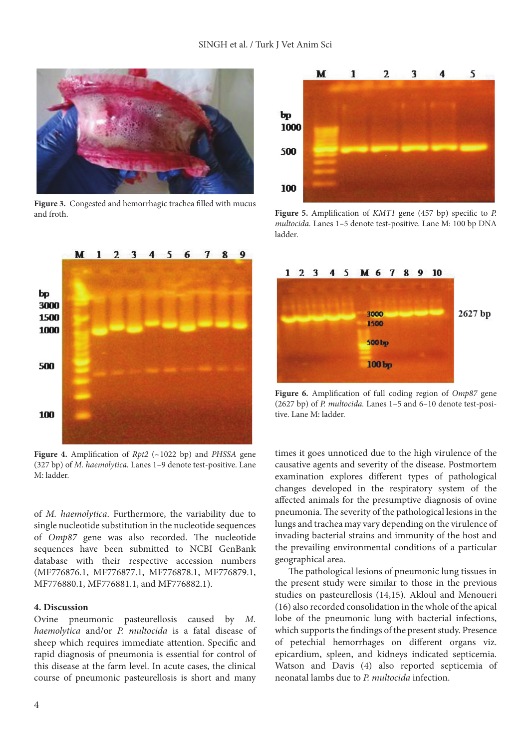

**Figure 3.** Congested and hemorrhagic trachea filled with mucus and froth.



**Figure 4.** Amplification of *Rpt2* (~1022 bp) and *PHSSA* gene (327 bp) of *M. haemolytica.* Lanes 1–9 denote test-positive. Lane M: ladder.

of *M. haemolytica*. Furthermore, the variability due to single nucleotide substitution in the nucleotide sequences of *Omp87* gene was also recorded. The nucleotide sequences have been submitted to NCBI GenBank database with their respective accession numbers (MF776876.1, MF776877.1, MF776878.1, MF776879.1, MF776880.1, MF776881.1, and MF776882.1).

### **4. Discussion**

Ovine pneumonic pasteurellosis caused by *M. haemolytica* and/or *P. multocida* is a fatal disease of sheep which requires immediate attention. Specific and rapid diagnosis of pneumonia is essential for control of this disease at the farm level. In acute cases, the clinical course of pneumonic pasteurellosis is short and many



**Figure 5.** Amplification of *KMT1* gene (457 bp) specific to *P. multocida.* Lanes 1–5 denote test-positive. Lane M: 100 bp DNA ladder.



**Figure 6.** Amplification of full coding region of *Omp87* gene (2627 bp) of *P. multocida.* Lanes 1–5 and 6–10 denote test-positive. Lane M: ladder.

times it goes unnoticed due to the high virulence of the causative agents and severity of the disease. Postmortem examination explores different types of pathological changes developed in the respiratory system of the affected animals for the presumptive diagnosis of ovine pneumonia. The severity of the pathological lesions in the lungs and trachea may vary depending on the virulence of invading bacterial strains and immunity of the host and the prevailing environmental conditions of a particular geographical area.

The pathological lesions of pneumonic lung tissues in the present study were similar to those in the previous studies on pasteurellosis (14,15). Akloul and Menoueri (16) also recorded consolidation in the whole of the apical lobe of the pneumonic lung with bacterial infections, which supports the findings of the present study. Presence of petechial hemorrhages on different organs viz. epicardium, spleen, and kidneys indicated septicemia. Watson and Davis (4) also reported septicemia of neonatal lambs due to *P. multocida* infection.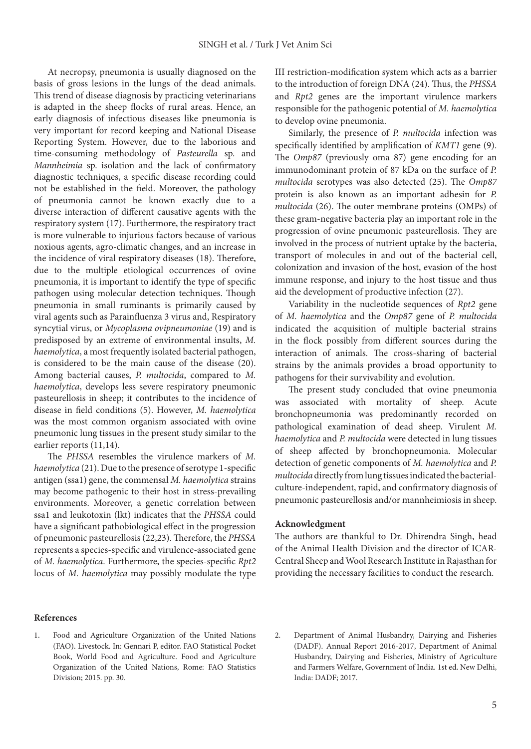At necropsy, pneumonia is usually diagnosed on the basis of gross lesions in the lungs of the dead animals. This trend of disease diagnosis by practicing veterinarians is adapted in the sheep flocks of rural areas. Hence, an early diagnosis of infectious diseases like pneumonia is very important for record keeping and National Disease Reporting System. However, due to the laborious and time-consuming methodology of *Pasteurella* sp. and *Mannheimia* sp. isolation and the lack of confirmatory diagnostic techniques, a specific disease recording could not be established in the field. Moreover, the pathology of pneumonia cannot be known exactly due to a diverse interaction of different causative agents with the respiratory system (17). Furthermore, the respiratory tract is more vulnerable to injurious factors because of various noxious agents, agro-climatic changes, and an increase in the incidence of viral respiratory diseases (18). Therefore, due to the multiple etiological occurrences of ovine pneumonia, it is important to identify the type of specific pathogen using molecular detection techniques. Though pneumonia in small ruminants is primarily caused by viral agents such as Parainfluenza 3 virus and, Respiratory syncytial virus, or *Mycoplasma ovipneumoniae* (19) and is predisposed by an extreme of environmental insults, *M. haemolytica*, a most frequently isolated bacterial pathogen, is considered to be the main cause of the disease (20). Among bacterial causes, *P. multocida*, compared to *M. haemolytica*, develops less severe respiratory pneumonic pasteurellosis in sheep; it contributes to the incidence of disease in field conditions (5). However, *M. haemolytica* was the most common organism associated with ovine pneumonic lung tissues in the present study similar to the earlier reports (11,14).

The *PHSSA* resembles the virulence markers of *M. haemolytica* (21). Due to the presence of serotype 1-specific antigen (ssa1) gene, the commensal *M. haemolytica* strains may become pathogenic to their host in stress-prevailing environments. Moreover, a genetic correlation between ssa1 and leukotoxin (lkt) indicates that the *PHSSA* could have a significant pathobiological effect in the progression of pneumonic pasteurellosis (22,23). Therefore, the *PHSSA* represents a species-specific and virulence-associated gene of *M. haemolytica*. Furthermore, the species-specific *Rpt2* locus of *M. haemolytica* may possibly modulate the type

**References**

III restriction-modification system which acts as a barrier to the introduction of foreign DNA (24). Thus, the *PHSSA*  and *Rpt2* genes are the important virulence markers responsible for the pathogenic potential of *M. haemolytica* to develop ovine pneumonia.

Similarly, the presence of *P. multocida* infection was specifically identified by amplification of *KMT1* gene (9). The *Omp87* (previously oma 87) gene encoding for an immunodominant protein of 87 kDa on the surface of *P. multocida* serotypes was also detected (25). The *Omp87*  protein is also known as an important adhesin for *P. multocida* (26). The outer membrane proteins (OMPs) of these gram-negative bacteria play an important role in the progression of ovine pneumonic pasteurellosis. They are involved in the process of nutrient uptake by the bacteria, transport of molecules in and out of the bacterial cell, colonization and invasion of the host, evasion of the host immune response, and injury to the host tissue and thus aid the development of productive infection (27).

Variability in the nucleotide sequences of *Rpt2* gene of *M. haemolytica* and the *Omp87* gene of *P. multocida* indicated the acquisition of multiple bacterial strains in the flock possibly from different sources during the interaction of animals. The cross-sharing of bacterial strains by the animals provides a broad opportunity to pathogens for their survivability and evolution.

The present study concluded that ovine pneumonia was associated with mortality of sheep. Acute bronchopneumonia was predominantly recorded on pathological examination of dead sheep. Virulent *M. haemolytica* and *P. multocida* were detected in lung tissues of sheep affected by bronchopneumonia. Molecular detection of genetic components of *M. haemolytica* and *P. multocida* directly from lung tissues indicated the bacterialculture-independent, rapid, and confirmatory diagnosis of pneumonic pasteurellosis and/or mannheimiosis in sheep.

### **Acknowledgment**

The authors are thankful to Dr. Dhirendra Singh, head of the Animal Health Division and the director of ICAR-Central Sheep and Wool Research Institute in Rajasthan for providing the necessary facilities to conduct the research.

- 1. Food and Agriculture Organization of the United Nations (FAO). Livestock. In: Gennari P, editor. FAO Statistical Pocket Book, World Food and Agriculture. Food and Agriculture Organization of the United Nations, Rome: FAO Statistics Division; 2015. pp. 30.
- 2. Department of Animal Husbandry, Dairying and Fisheries (DADF). Annual Report 2016-2017, Department of Animal Husbandry, Dairying and Fisheries, Ministry of Agriculture and Farmers Welfare, Government of India. 1st ed. New Delhi, India: DADF; 2017.